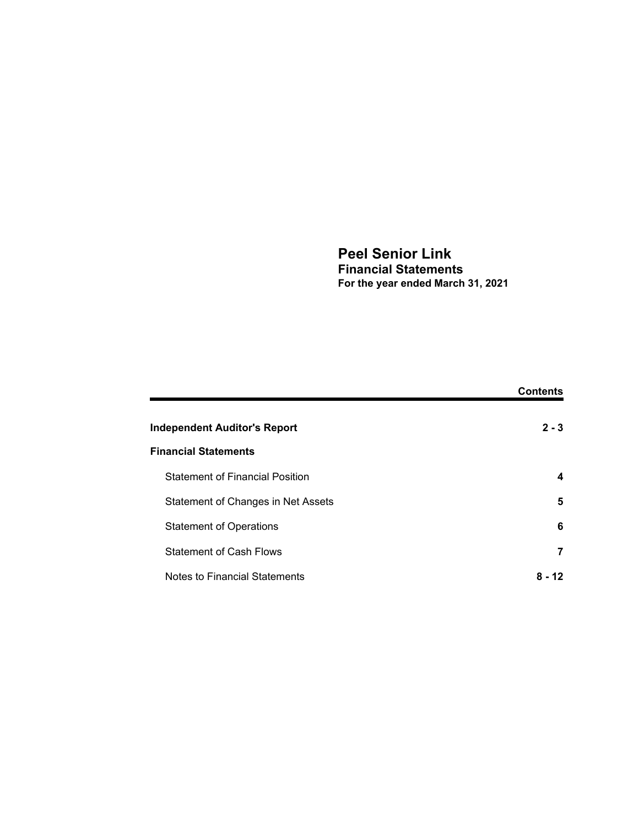## **Peel Senior Link Financial Statements For the year ended March 31, 2021**

|                                        | <b>Contents</b> |
|----------------------------------------|-----------------|
| <b>Independent Auditor's Report</b>    | $2 - 3$         |
| <b>Financial Statements</b>            |                 |
| <b>Statement of Financial Position</b> | 4               |
| Statement of Changes in Net Assets     | 5               |
| <b>Statement of Operations</b>         | 6               |
| <b>Statement of Cash Flows</b>         | 7               |
| Notes to Financial Statements          | - 12            |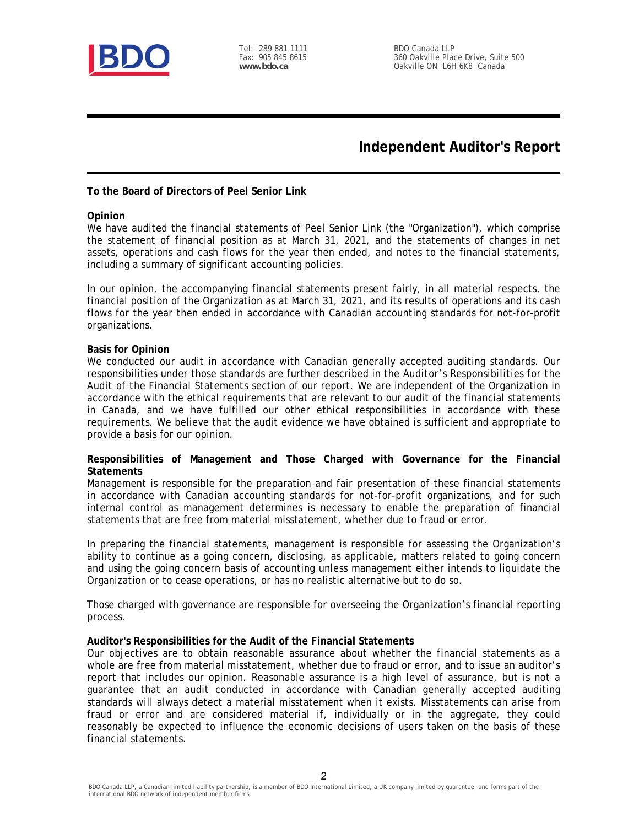

Tel: 289 881 1111 Fax: 905 845 8615 **www.bdo.ca** 

## **Independent Auditor's Report**

## **To the Board of Directors of Peel Senior Link**

## **Opinion**

We have audited the financial statements of Peel Senior Link (the "Organization"), which comprise the statement of financial position as at March 31, 2021, and the statements of changes in net assets, operations and cash flows for the year then ended, and notes to the financial statements, including a summary of significant accounting policies.

In our opinion, the accompanying financial statements present fairly, in all material respects, the financial position of the Organization as at March 31, 2021, and its results of operations and its cash flows for the year then ended in accordance with Canadian accounting standards for not-for-profit organizations.

## **Basis for Opinion**

We conducted our audit in accordance with Canadian generally accepted auditing standards. Our responsibilities under those standards are further described in the *Auditor's Responsibilities for the Audit of the Financial Statements* section of our report. We are independent of the Organization in accordance with the ethical requirements that are relevant to our audit of the financial statements in Canada, and we have fulfilled our other ethical responsibilities in accordance with these requirements. We believe that the audit evidence we have obtained is sufficient and appropriate to provide a basis for our opinion.

## **Responsibilities of Management and Those Charged with Governance for the Financial Statements**

Management is responsible for the preparation and fair presentation of these financial statements in accordance with Canadian accounting standards for not-for-profit organizations, and for such internal control as management determines is necessary to enable the preparation of financial statements that are free from material misstatement, whether due to fraud or error.

In preparing the financial statements, management is responsible for assessing the Organization's ability to continue as a going concern, disclosing, as applicable, matters related to going concern and using the going concern basis of accounting unless management either intends to liquidate the Organization or to cease operations, or has no realistic alternative but to do so.

Those charged with governance are responsible for overseeing the Organization's financial reporting process.

#### **Auditor's Responsibilities for the Audit of the Financial Statements**

Our objectives are to obtain reasonable assurance about whether the financial statements as a whole are free from material misstatement, whether due to fraud or error, and to issue an auditor's report that includes our opinion. Reasonable assurance is a high level of assurance, but is not a guarantee that an audit conducted in accordance with Canadian generally accepted auditing standards will always detect a material misstatement when it exists. Misstatements can arise from fraud or error and are considered material if, individually or in the aggregate, they could reasonably be expected to influence the economic decisions of users taken on the basis of these financial statements.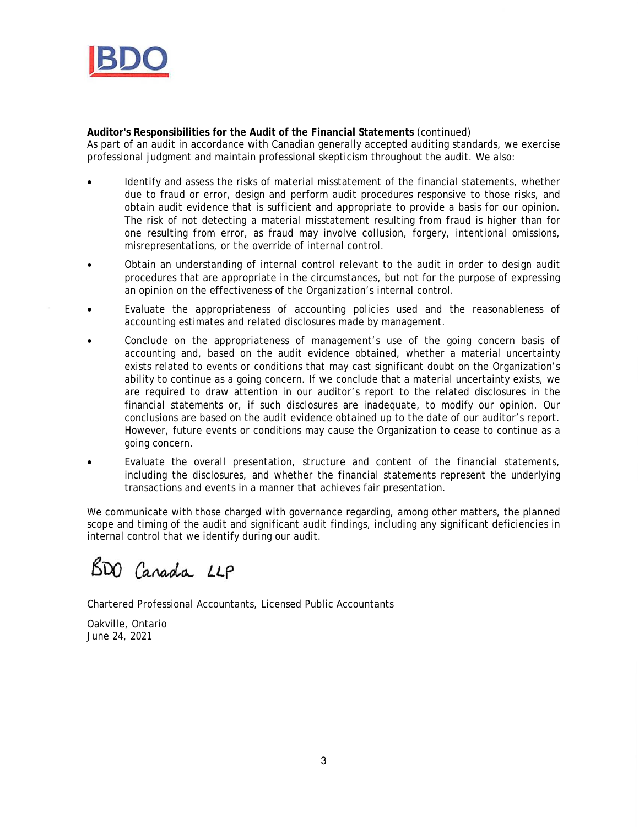

## **Auditor's Responsibilities for the Audit of the Financial Statements** (continued)

As part of an audit in accordance with Canadian generally accepted auditing standards, we exercise professional judgment and maintain professional skepticism throughout the audit. We also:

- Identify and assess the risks of material misstatement of the financial statements, whether due to fraud or error, design and perform audit procedures responsive to those risks, and obtain audit evidence that is sufficient and appropriate to provide a basis for our opinion. The risk of not detecting a material misstatement resulting from fraud is higher than for one resulting from error, as fraud may involve collusion, forgery, intentional omissions, misrepresentations, or the override of internal control.
- Obtain an understanding of internal control relevant to the audit in order to design audit procedures that are appropriate in the circumstances, but not for the purpose of expressing an opinion on the effectiveness of the Organization's internal control.
- Evaluate the appropriateness of accounting policies used and the reasonableness of accounting estimates and related disclosures made by management.
- Conclude on the appropriateness of management's use of the going concern basis of accounting and, based on the audit evidence obtained, whether a material uncertainty exists related to events or conditions that may cast significant doubt on the Organization's ability to continue as a going concern. If we conclude that a material uncertainty exists, we are required to draw attention in our auditor's report to the related disclosures in the financial statements or, if such disclosures are inadequate, to modify our opinion. Our conclusions are based on the audit evidence obtained up to the date of our auditor's report. However, future events or conditions may cause the Organization to cease to continue as a going concern.
- Evaluate the overall presentation, structure and content of the financial statements, including the disclosures, and whether the financial statements represent the underlying transactions and events in a manner that achieves fair presentation.

We communicate with those charged with governance regarding, among other matters, the planned scope and timing of the audit and significant audit findings, including any significant deficiencies in internal control that we identify during our audit.

BDO Canada LLP

Chartered Professional Accountants, Licensed Public Accountants

Oakville, Ontario June 24, 2021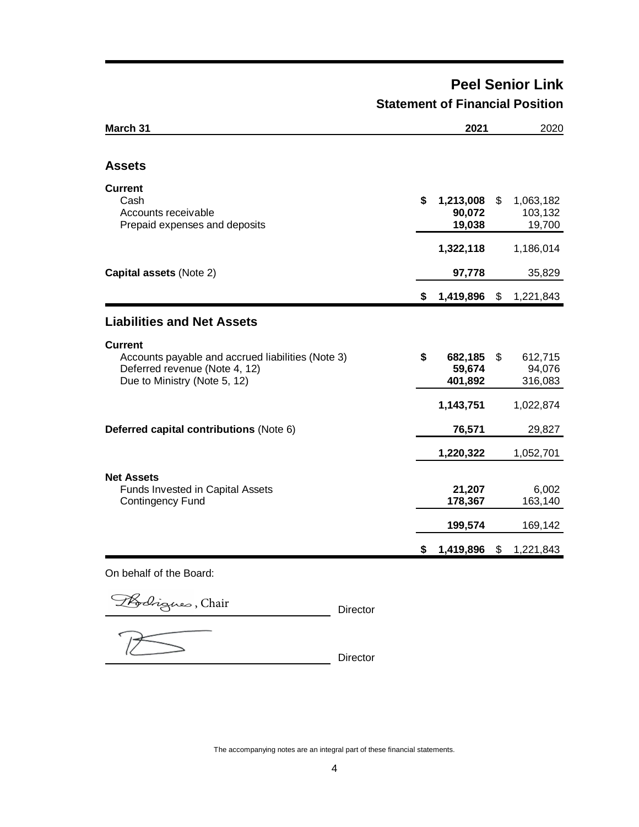## **Peel Senior Link Statement of Financial Position**

| March 31                                                                                                                             | 2021 | 2020                          |                                      |
|--------------------------------------------------------------------------------------------------------------------------------------|------|-------------------------------|--------------------------------------|
| <b>Assets</b>                                                                                                                        |      |                               |                                      |
| <b>Current</b><br>Cash<br>Accounts receivable<br>Prepaid expenses and deposits                                                       | \$   | 1,213,008<br>90,072<br>19,038 | \$<br>1,063,182<br>103,132<br>19,700 |
|                                                                                                                                      |      | 1,322,118                     | 1,186,014                            |
| Capital assets (Note 2)                                                                                                              |      | 97,778                        | 35,829                               |
|                                                                                                                                      | \$   | 1,419,896                     | \$<br>1,221,843                      |
| <b>Liabilities and Net Assets</b>                                                                                                    |      |                               |                                      |
| <b>Current</b><br>Accounts payable and accrued liabilities (Note 3)<br>Deferred revenue (Note 4, 12)<br>Due to Ministry (Note 5, 12) | \$   | 682,185<br>59,674<br>401,892  | \$<br>612,715<br>94,076<br>316,083   |
|                                                                                                                                      |      | 1,143,751                     | 1,022,874                            |
| Deferred capital contributions (Note 6)                                                                                              |      | 76,571                        | 29,827                               |
|                                                                                                                                      |      | 1,220,322                     | 1,052,701                            |
| <b>Net Assets</b><br>Funds Invested in Capital Assets<br><b>Contingency Fund</b>                                                     |      | 21,207<br>178,367             | 6,002<br>163,140                     |
|                                                                                                                                      |      | 199,574                       | 169,142                              |
|                                                                                                                                      | \$   | 1,419,896                     | \$<br>1,221,843                      |
| On behalf of the Board:                                                                                                              |      |                               |                                      |

Director

Bodigues, Chair

Director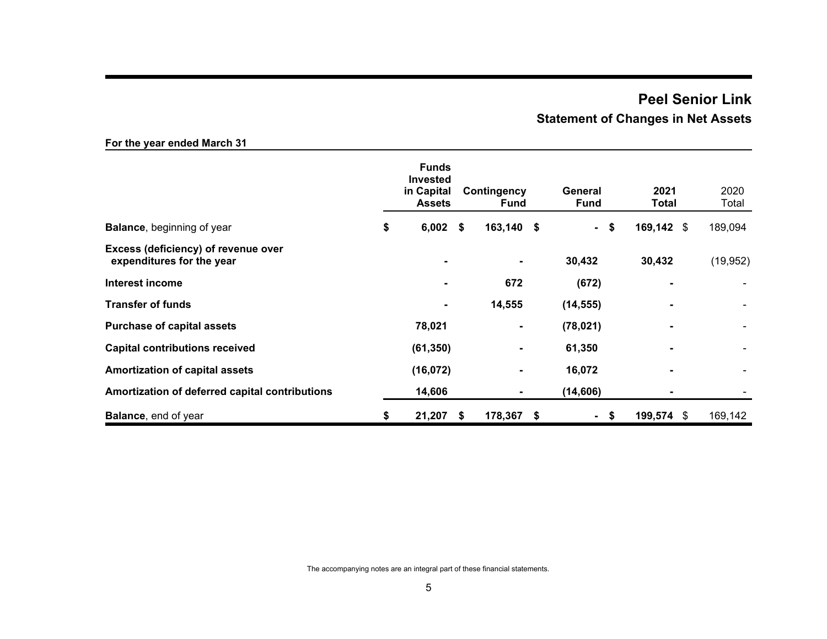# **Peel Senior Link Statement of Changes in Net Assets**

|                                                                  | <b>Funds</b><br><b>Invested</b><br>in Capital<br><b>Assets</b> |    | <b>Contingency</b><br><b>Fund</b> |      | General<br><b>Fund</b> | 2021<br>Total  | 2020<br>Total |
|------------------------------------------------------------------|----------------------------------------------------------------|----|-----------------------------------|------|------------------------|----------------|---------------|
| <b>Balance, beginning of year</b>                                | \$<br>6,002                                                    | \$ | $163,140$ \$                      |      | $-$ \$                 | 169,142 \$     | 189,094       |
| Excess (deficiency) of revenue over<br>expenditures for the year | $\blacksquare$                                                 |    |                                   |      | 30,432                 | 30,432         | (19, 952)     |
| <b>Interest income</b>                                           |                                                                |    | 672                               |      | (672)                  |                |               |
| <b>Transfer of funds</b>                                         |                                                                |    | 14,555                            |      | (14, 555)              | -              |               |
| <b>Purchase of capital assets</b>                                | 78,021                                                         |    | ٠                                 |      | (78, 021)              | ۰              |               |
| <b>Capital contributions received</b>                            | (61, 350)                                                      |    | -                                 |      | 61,350                 | ۰              |               |
| <b>Amortization of capital assets</b>                            | (16,072)                                                       |    | -                                 |      | 16,072                 |                |               |
| Amortization of deferred capital contributions                   | 14,606                                                         |    |                                   |      | (14, 606)              | $\blacksquare$ |               |
| Balance, end of year                                             | \$<br>21,207                                                   | S. | 178,367                           | - \$ | - \$                   | 199,574 \$     | 169,142       |

**For the year ended March 31**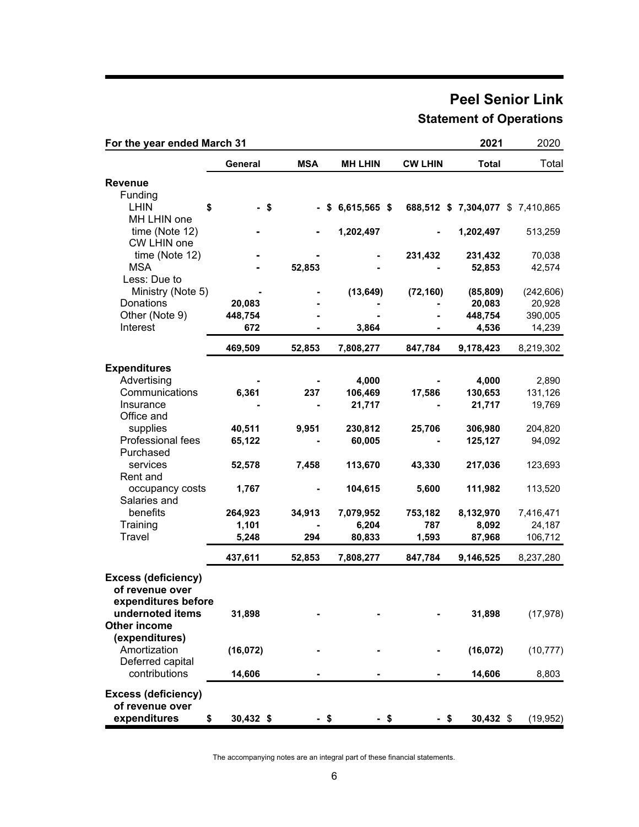# **Peel Senior Link Statement of Operations**

| For the year ended March 31 |           |            |                     |                | 2021         | 2020                              |
|-----------------------------|-----------|------------|---------------------|----------------|--------------|-----------------------------------|
|                             | General   | <b>MSA</b> | <b>MH LHIN</b>      | <b>CW LHIN</b> | <b>Total</b> | Total                             |
| <b>Revenue</b>              |           |            |                     |                |              |                                   |
| Funding                     |           |            |                     |                |              |                                   |
| <b>LHIN</b><br>\$           | - \$      |            | $-$ \$ 6,615,565 \$ |                |              | 688,512 \$ 7,304,077 \$ 7,410,865 |
| MH LHIN one                 |           |            |                     |                |              |                                   |
| time (Note 12)              |           |            | 1,202,497           |                | 1,202,497    | 513,259                           |
| CW LHIN one                 |           |            |                     |                |              |                                   |
| time (Note 12)              |           |            |                     | 231,432        | 231,432      | 70,038                            |
| <b>MSA</b>                  |           | 52,853     |                     |                | 52,853       | 42,574                            |
| Less: Due to                |           |            |                     |                |              |                                   |
| Ministry (Note 5)           |           |            | (13, 649)           | (72, 160)      | (85, 809)    | (242, 606)                        |
| Donations                   | 20,083    |            |                     |                | 20,083       | 20,928                            |
| Other (Note 9)              | 448,754   |            |                     |                | 448,754      | 390,005                           |
| Interest                    | 672       |            | 3,864               |                | 4,536        | 14,239                            |
|                             | 469,509   | 52,853     | 7,808,277           | 847,784        | 9,178,423    | 8,219,302                         |
|                             |           |            |                     |                |              |                                   |
| <b>Expenditures</b>         |           |            |                     |                |              |                                   |
| Advertising                 |           |            | 4,000               |                | 4,000        | 2,890                             |
| Communications              | 6,361     | 237        | 106,469             | 17,586         | 130,653      | 131,126                           |
| Insurance                   |           |            | 21,717              |                | 21,717       | 19,769                            |
| Office and                  |           |            |                     |                |              |                                   |
| supplies                    | 40,511    | 9,951      | 230,812             | 25,706         | 306,980      | 204,820                           |
| Professional fees           | 65,122    |            | 60,005              |                | 125,127      | 94,092                            |
| Purchased                   |           |            |                     |                |              |                                   |
| services                    | 52,578    | 7,458      | 113,670             | 43,330         | 217,036      | 123,693                           |
| Rent and                    |           |            |                     |                |              |                                   |
| occupancy costs             | 1,767     |            | 104,615             | 5,600          | 111,982      | 113,520                           |
| Salaries and                |           |            |                     |                |              |                                   |
| benefits                    | 264,923   | 34,913     | 7,079,952           | 753,182        | 8,132,970    | 7,416,471                         |
| Training                    | 1,101     |            | 6,204               | 787            | 8,092        | 24,187                            |
| Travel                      | 5,248     | 294        | 80,833              | 1,593          | 87,968       | 106,712                           |
|                             | 437,611   | 52,853     | 7,808,277           | 847,784        | 9,146,525    | 8,237,280                         |
| <b>Excess (deficiency)</b>  |           |            |                     |                |              |                                   |
| of revenue over             |           |            |                     |                |              |                                   |
| expenditures before         |           |            |                     |                |              |                                   |
| undernoted items            |           |            |                     |                |              | (17, 978)                         |
| <b>Other income</b>         | 31,898    |            |                     |                | 31,898       |                                   |
| (expenditures)              |           |            |                     |                |              |                                   |
| Amortization                |           |            |                     |                |              |                                   |
| Deferred capital            | (16, 072) |            |                     |                | (16, 072)    | (10, 777)                         |
| contributions               | 14,606    |            |                     |                | 14,606       | 8,803                             |
|                             |           |            |                     |                |              |                                   |
| <b>Excess (deficiency)</b>  |           |            |                     |                |              |                                   |
| of revenue over             |           |            |                     |                |              |                                   |
| expenditures<br>\$          | 30,432 \$ |            | - \$<br>$-$ \$      | $-$ \$         | $30,432$ \$  | (19, 952)                         |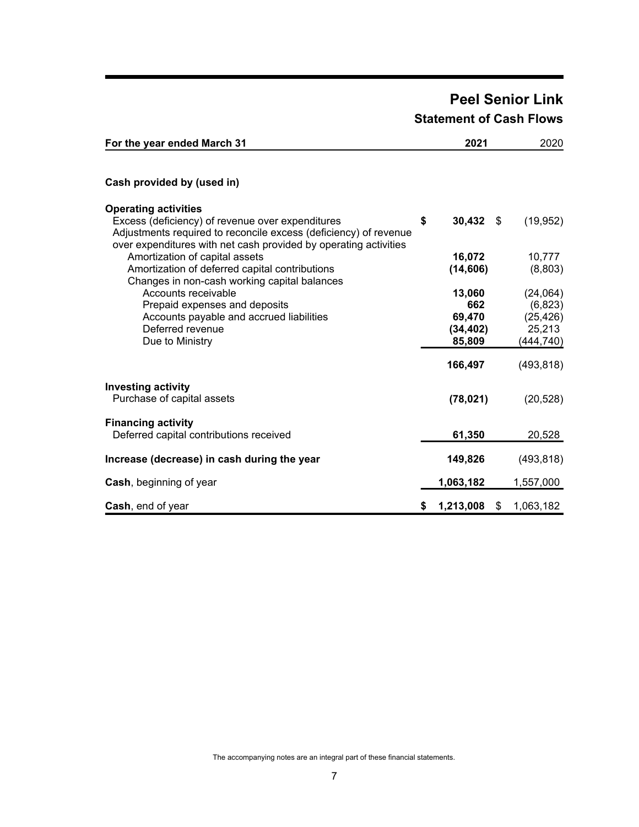## **Peel Senior Link Statement of Cash Flows**

| For the year ended March 31                                                                                                                                                                                             | 2021                                           | 2020                                                      |
|-------------------------------------------------------------------------------------------------------------------------------------------------------------------------------------------------------------------------|------------------------------------------------|-----------------------------------------------------------|
| Cash provided by (used in)                                                                                                                                                                                              |                                                |                                                           |
| <b>Operating activities</b><br>Excess (deficiency) of revenue over expenditures<br>Adjustments required to reconcile excess (deficiency) of revenue<br>over expenditures with net cash provided by operating activities | \$<br>$30,432$ \$                              | (19, 952)                                                 |
| Amortization of capital assets<br>Amortization of deferred capital contributions                                                                                                                                        | 16,072<br>(14, 606)                            | 10,777<br>(8,803)                                         |
| Changes in non-cash working capital balances<br>Accounts receivable<br>Prepaid expenses and deposits<br>Accounts payable and accrued liabilities<br>Deferred revenue<br>Due to Ministry                                 | 13,060<br>662<br>69,470<br>(34, 402)<br>85,809 | (24,064)<br>(6, 823)<br>(25, 426)<br>25,213<br>(444, 740) |
|                                                                                                                                                                                                                         | 166,497                                        | (493, 818)                                                |
| <b>Investing activity</b><br>Purchase of capital assets                                                                                                                                                                 | (78, 021)                                      | (20, 528)                                                 |
| <b>Financing activity</b><br>Deferred capital contributions received                                                                                                                                                    | 61,350                                         | 20,528                                                    |
| Increase (decrease) in cash during the year                                                                                                                                                                             | 149,826                                        | (493, 818)                                                |
| Cash, beginning of year                                                                                                                                                                                                 | 1,063,182                                      | 1,557,000                                                 |
| Cash, end of year                                                                                                                                                                                                       | \$<br>1,213,008                                | \$<br>1,063,182                                           |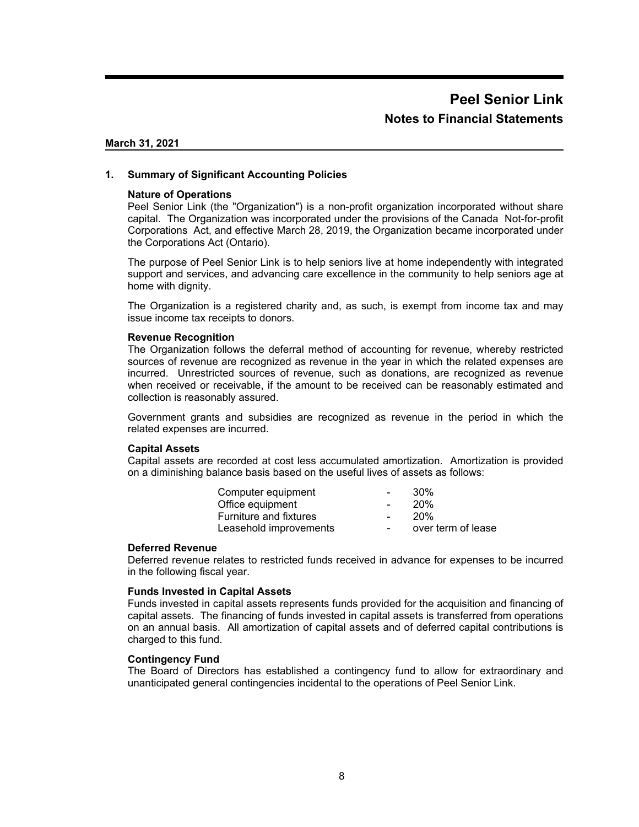## **March 31, 2021**

#### **1. Summary of Significant Accounting Policies**

## **Nature of Operations**

Peel Senior Link (the "Organization") is a non-profit organization incorporated without share capital. The Organization was incorporated under the provisions of the Canada Not-for-profit Corporations Act, and effective March 28, 2019, the Organization became incorporated under the Corporations Act (Ontario).

The purpose of Peel Senior Link is to help seniors live at home independently with integrated support and services, and advancing care excellence in the community to help seniors age at home with dignity.

The Organization is a registered charity and, as such, is exempt from income tax and may issue income tax receipts to donors.

#### **Revenue Recognition**

The Organization follows the deferral method of accounting for revenue, whereby restricted sources of revenue are recognized as revenue in the year in which the related expenses are incurred. Unrestricted sources of revenue, such as donations, are recognized as revenue when received or receivable, if the amount to be received can be reasonably estimated and collection is reasonably assured.

Government grants and subsidies are recognized as revenue in the period in which the related expenses are incurred.

#### **Capital Assets**

Capital assets are recorded at cost less accumulated amortization. Amortization is provided on a diminishing balance basis based on the useful lives of assets as follows:

| $\sim$ | 30%                |
|--------|--------------------|
| $\sim$ | <b>20%</b>         |
| $\sim$ | 20%                |
|        | over term of lease |
|        |                    |

#### **Deferred Revenue**

Deferred revenue relates to restricted funds received in advance for expenses to be incurred in the following fiscal year.

#### **Funds Invested in Capital Assets**

Funds invested in capital assets represents funds provided for the acquisition and financing of capital assets. The financing of funds invested in capital assets is transferred from operations on an annual basis. All amortization of capital assets and of deferred capital contributions is charged to this fund.

#### **Contingency Fund**

The Board of Directors has established a contingency fund to allow for extraordinary and unanticipated general contingencies incidental to the operations of Peel Senior Link.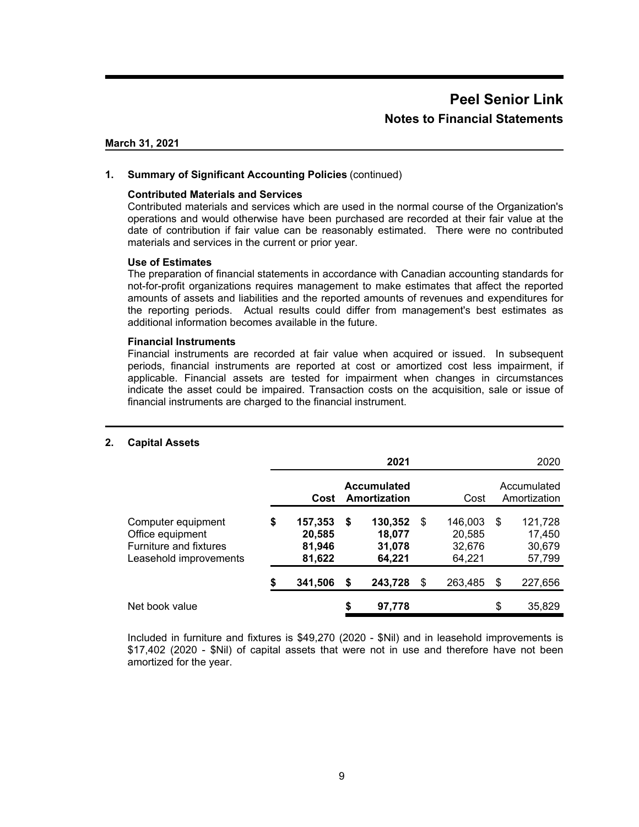## **March 31, 2021**

## **1. Summary of Significant Accounting Policies** (continued)

#### **Contributed Materials and Services**

Contributed materials and services which are used in the normal course of the Organization's operations and would otherwise have been purchased are recorded at their fair value at the date of contribution if fair value can be reasonably estimated. There were no contributed materials and services in the current or prior year.

#### **Use of Estimates**

The preparation of financial statements in accordance with Canadian accounting standards for not-for-profit organizations requires management to make estimates that affect the reported amounts of assets and liabilities and the reported amounts of revenues and expenditures for the reporting periods. Actual results could differ from management's best estimates as additional information becomes available in the future.

#### **Financial Instruments**

Financial instruments are recorded at fair value when acquired or issued. In subsequent periods, financial instruments are reported at cost or amortized cost less impairment, if applicable. Financial assets are tested for impairment when changes in circumstances indicate the asset could be impaired. Transaction costs on the acquisition, sale or issue of financial instruments are charged to the financial instrument.

#### **2. Capital Assets**

|                                                                                            |                                             | 2021                                        |   |                                       |    | 2020                                  |
|--------------------------------------------------------------------------------------------|---------------------------------------------|---------------------------------------------|---|---------------------------------------|----|---------------------------------------|
|                                                                                            | Cost                                        | <b>Accumulated</b><br>Amortization          |   | Cost                                  |    | Accumulated<br>Amortization           |
| Computer equipment<br>Office equipment<br>Furniture and fixtures<br>Leasehold improvements | \$<br>157,353<br>20,585<br>81,946<br>81,622 | \$<br>130,352<br>18,077<br>31,078<br>64.221 | S | 146,003<br>20,585<br>32,676<br>64,221 | \$ | 121,728<br>17,450<br>30,679<br>57,799 |
|                                                                                            | 341,506                                     | \$<br>243,728                               | S | 263,485                               | S  | 227,656                               |
| Net book value                                                                             |                                             | \$<br>97,778                                |   |                                       | \$ | 35,829                                |

Included in furniture and fixtures is \$49,270 (2020 - \$Nil) and in leasehold improvements is \$17,402 (2020 - \$Nil) of capital assets that were not in use and therefore have not been amortized for the year.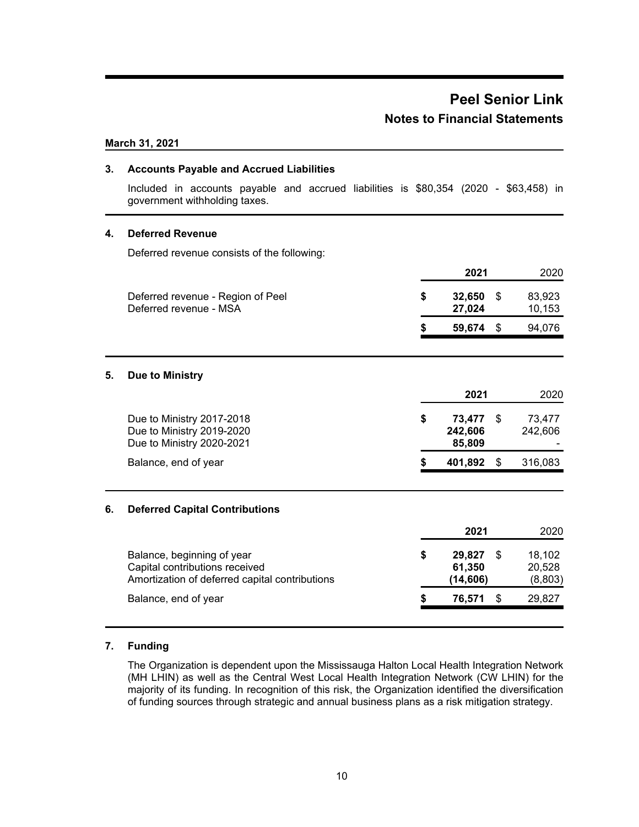## **Peel Senior Link Notes to Financial Statements**

## **March 31, 2021**

## **3. Accounts Payable and Accrued Liabilities**

Included in accounts payable and accrued liabilities is \$80,354 (2020 - \$63,458) in government withholding taxes.

## **4. Deferred Revenue**

Deferred revenue consists of the following:

|                                                             | 2021                  | 2020             |
|-------------------------------------------------------------|-----------------------|------------------|
| Deferred revenue - Region of Peel<br>Deferred revenue - MSA | $32,650$ \$<br>27.024 | 83,923<br>10.153 |
|                                                             | $59,674$ \$           | 94.076           |

## **5. Due to Ministry**

|                                                                                     | 2021                                  | 2020                   |
|-------------------------------------------------------------------------------------|---------------------------------------|------------------------|
| Due to Ministry 2017-2018<br>Due to Ministry 2019-2020<br>Due to Ministry 2020-2021 | <b>73.477 \$</b><br>242.606<br>85,809 | 73.477<br>242.606<br>- |
| Balance, end of year                                                                | 401.892                               | 316,083                |

#### **6. Deferred Capital Contributions**

|                                                                                                                |   | 2021                          | 2020                        |
|----------------------------------------------------------------------------------------------------------------|---|-------------------------------|-----------------------------|
| Balance, beginning of year<br>Capital contributions received<br>Amortization of deferred capital contributions | S | 29,827<br>61,350<br>(14, 606) | 18,102<br>20,528<br>(8,803) |
| Balance, end of year                                                                                           | S | 76.571                        | 29,827                      |

## **7. Funding**

The Organization is dependent upon the Mississauga Halton Local Health Integration Network (MH LHIN) as well as the Central West Local Health Integration Network (CW LHIN) for the majority of its funding. In recognition of this risk, the Organization identified the diversification of funding sources through strategic and annual business plans as a risk mitigation strategy.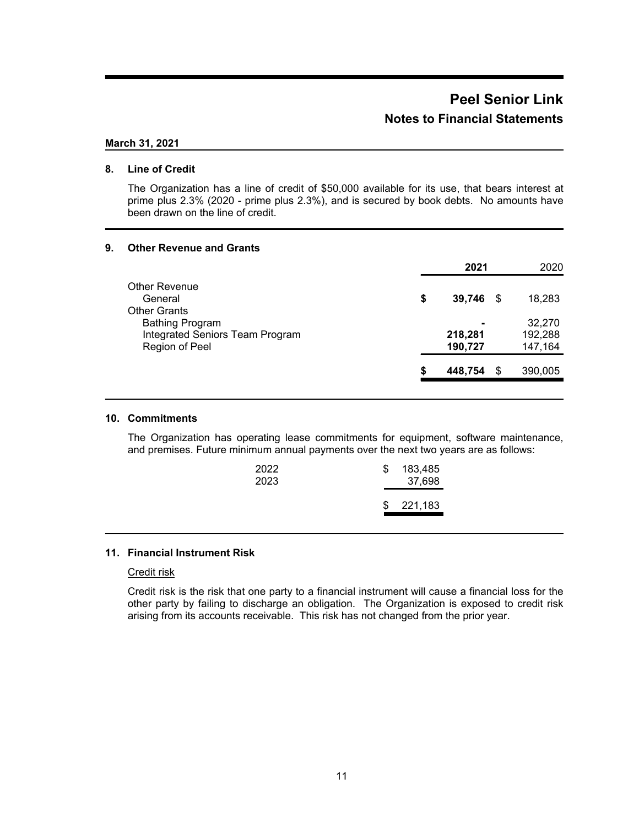## **Peel Senior Link Notes to Financial Statements**

## **March 31, 2021**

## **8. Line of Credit**

The Organization has a line of credit of \$50,000 available for its use, that bears interest at prime plus 2.3% (2020 - prime plus 2.3%), and is secured by book debts. No amounts have been drawn on the line of credit.

## **9. Other Revenue and Grants 2021** 2020 Other Revenue **General 8 18,283** Other Grants Bathing Program **192,270**<br>Integrated Seniors Team Program **192,288**<br>**218,281** 192,288 **Integrated Seniors Team Program** Region of Peel **190,727** 147,164 **\$ 448,754** \$ 390,005

## **10. Commitments**

The Organization has operating lease commitments for equipment, software maintenance, and premises. Future minimum annual payments over the next two years are as follows:

| 2022<br>2023 | S | 183,485<br>37,698 |
|--------------|---|-------------------|
|              |   | \$221,183         |

## **11. Financial Instrument Risk**

#### Credit risk

Credit risk is the risk that one party to a financial instrument will cause a financial loss for the other party by failing to discharge an obligation. The Organization is exposed to credit risk arising from its accounts receivable. This risk has not changed from the prior year.